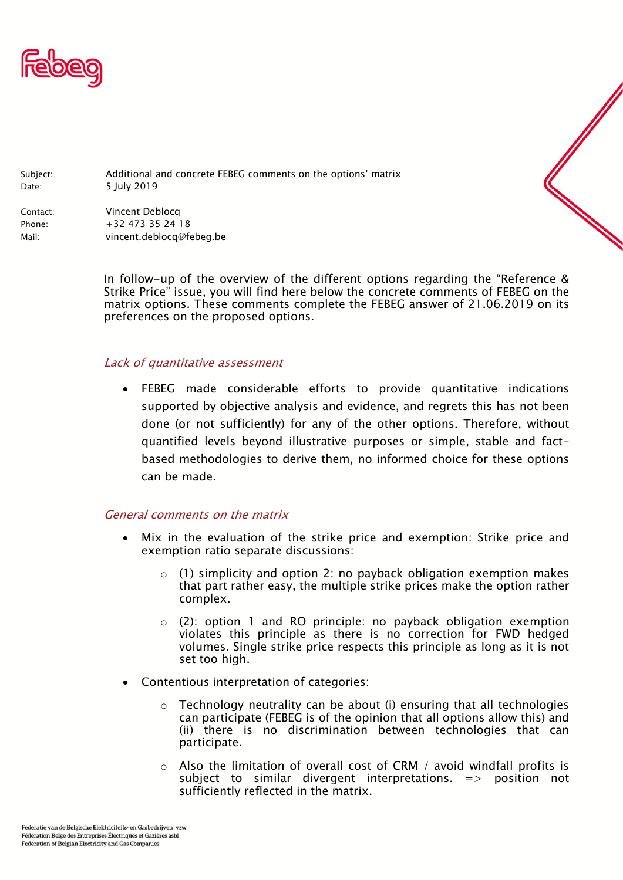

Subject: Additional and concrete FEBEG comments on the options' matrix Date: 5 July 2019 Contact: Vincent Deblocq Phone: +32 473 35 24 18 Mail: vincent.deblocq@febeg.be

> In follow-up of the overview of the different options regarding the "Reference & Strike Price" issue, you will find here below the concrete comments of FEBEG on the matrix options. These comments complete the FEBEG answer of 21.06.2019 on its preferences on the proposed options.

## Lack of quantitative assessment

• FEBEG made considerable efforts to provide quantitative indications supported by objective analysis and evidence, and regrets this has not been done (or not sufficiently) for any of the other options. Therefore, without quantified levels beyond illustrative purposes or simple, stable and factbased methodologies to derive them, no informed choice for these options can be made.

## General comments on the matrix

- Mix in the evaluation of the strike price and exemption: Strike price and exemption ratio separate discussions:
	- $\circ$  (1) simplicity and option 2: no payback obligation exemption makes that part rather easy, the multiple strike prices make the option rather complex.
	- $\circ$  (2): option 1 and RO principle: no payback obligation exemption violates this principle as there is no correction for FWD hedged volumes. Single strike price respects this principle as long as it is not set too high.
- Contentious interpretation of categories:
	- $\circ$  Technology neutrality can be about (i) ensuring that all technologies can participate (FEBEG is of the opinion that all options allow this) and (ii) there is no discrimination between technologies that can participate.
	- $\circ$  Also the limitation of overall cost of CRM / avoid windfall profits is subject to similar divergent interpretations.  $\Rightarrow$  position not sufficiently reflected in the matrix.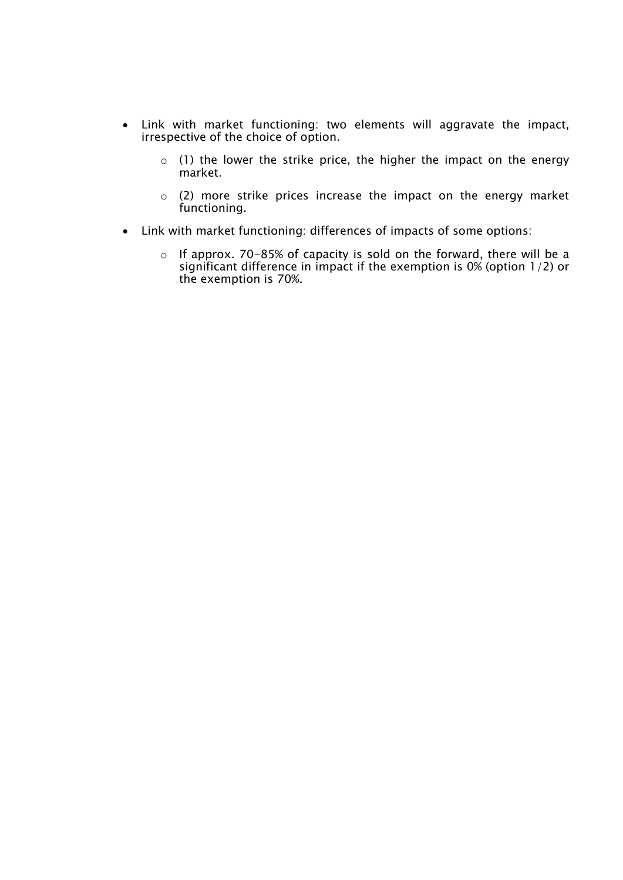- Link with market functioning: two elements will aggravate the impact, irrespective of the choice of option.
	- $\circ$  (1) the lower the strike price, the higher the impact on the energy market.
	- o (2) more strike prices increase the impact on the energy market functioning.
- Link with market functioning: differences of impacts of some options:
	- $\circ$  If approx. 70-85% of capacity is sold on the forward, there will be a significant difference in impact if the exemption is 0% (option 1/2) or the exemption is 70%.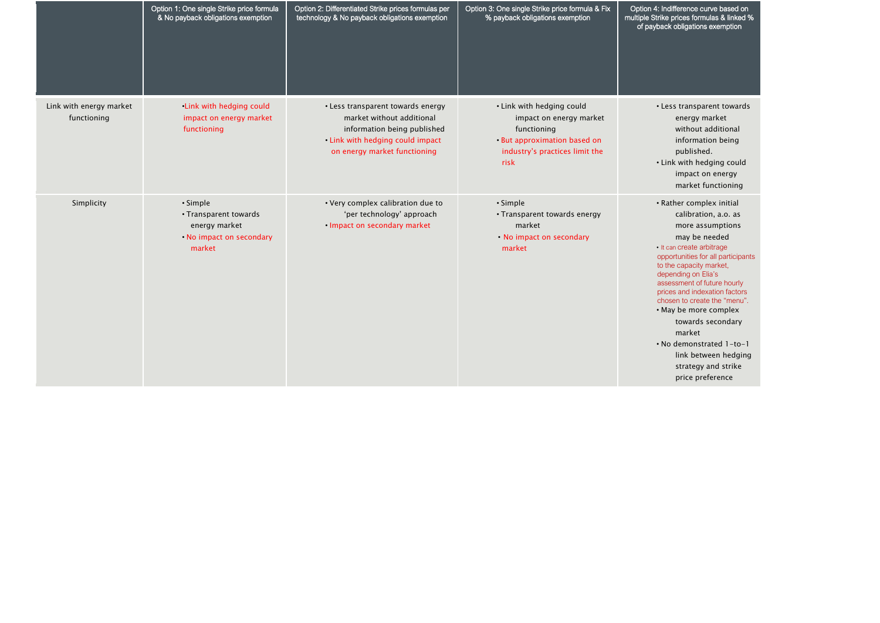|                                        | Option 1: One single Strike price formula<br>& No payback obligations exemption          | Option 2: Differentiated Strike prices formulas per<br>technology & No payback obligations exemption                                                              | Option 3: One single Strike price formula & Fix<br>% payback obligations exemption                                                            | Option 4: Indifference curve based on<br>multiple Strike prices formulas & linked %<br>of payback obligations exemption                                                                                                                                                                                                                                                                                                                                           |
|----------------------------------------|------------------------------------------------------------------------------------------|-------------------------------------------------------------------------------------------------------------------------------------------------------------------|-----------------------------------------------------------------------------------------------------------------------------------------------|-------------------------------------------------------------------------------------------------------------------------------------------------------------------------------------------------------------------------------------------------------------------------------------------------------------------------------------------------------------------------------------------------------------------------------------------------------------------|
| Link with energy market<br>functioning | ·Link with hedging could<br>impact on energy market<br>functioning                       | • Less transparent towards energy<br>market without additional<br>information being published<br>• Link with hedging could impact<br>on energy market functioning | • Link with hedging could<br>impact on energy market<br>functioning<br>• But approximation based on<br>industry's practices limit the<br>risk | • Less transparent towards<br>energy market<br>without additional<br>information being<br>published.<br>• Link with hedging could<br>impact on energy<br>market functioning                                                                                                                                                                                                                                                                                       |
| Simplicity                             | · Simple<br>• Transparent towards<br>energy market<br>• No impact on secondary<br>market | • Very complex calibration due to<br>'per technology' approach<br>• Impact on secondary market                                                                    | • Simple<br>• Transparent towards energy<br>market<br>• No impact on secondary<br>market                                                      | • Rather complex initial<br>calibration, a.o. as<br>more assumptions<br>may be needed<br>• It can create arbitrage<br>opportunities for all participants<br>to the capacity market,<br>depending on Elia's<br>assessment of future hourly<br>prices and indexation factors<br>chosen to create the "menu".<br>• May be more complex<br>towards secondary<br>market<br>. No demonstrated 1-to-1<br>link between hedging<br>strategy and strike<br>price preference |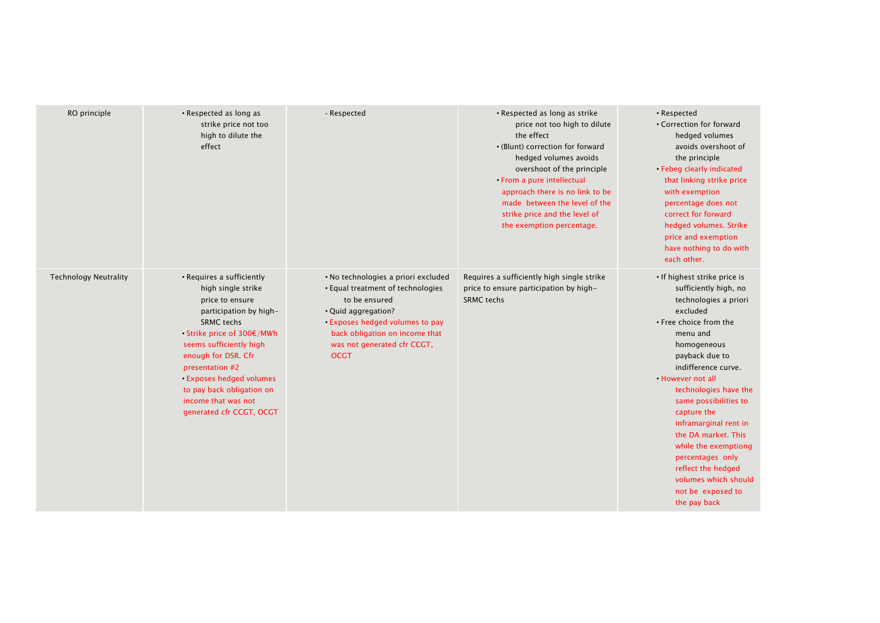| RO principle                 | • Respected as long as<br>strike price not too<br>high to dilute the<br>effect                                                                                                                                                                                                                                                        | - Respected                                                                                                                                                                                                                         | • Respected as long as strike<br>price not too high to dilute<br>the effect<br>• (Blunt) correction for forward<br>hedged volumes avoids<br>overshoot of the principle<br>• From a pure intellectual<br>approach there is no link to be<br>made between the level of the<br>strike price and the level of<br>the exemption percentage. | • Respected<br>• Correction for forward<br>hedged volumes<br>avoids overshoot of<br>the principle<br>• Febeg clearly indicated<br>that linking strike price<br>with exemption<br>percentage does not<br>correct for forward<br>hedged volumes. Strike<br>price and exemption<br>have nothing to do with<br>each other.                                                                                                                                        |
|------------------------------|---------------------------------------------------------------------------------------------------------------------------------------------------------------------------------------------------------------------------------------------------------------------------------------------------------------------------------------|-------------------------------------------------------------------------------------------------------------------------------------------------------------------------------------------------------------------------------------|----------------------------------------------------------------------------------------------------------------------------------------------------------------------------------------------------------------------------------------------------------------------------------------------------------------------------------------|---------------------------------------------------------------------------------------------------------------------------------------------------------------------------------------------------------------------------------------------------------------------------------------------------------------------------------------------------------------------------------------------------------------------------------------------------------------|
| <b>Technology Neutrality</b> | • Requires a sufficiently<br>high single strike<br>price to ensure<br>participation by high-<br><b>SRMC</b> techs<br>• Strike price of 300€/MWh<br>seems sufficiently high<br>enough for DSR. Cfr<br>presentation #2<br><b>Exposes hedged volumes</b><br>to pay back obligation on<br>income that was not<br>generated cfr CCGT, OCGT | · No technologies a priori excluded<br>• Equal treatment of technologies<br>to be ensured<br>• Quid aggregation?<br>. Exposes hedged volumes to pay<br>back obligation on income that<br>was not generated cfr CCGT,<br><b>OCGT</b> | Requires a sufficiently high single strike<br>price to ensure participation by high-<br><b>SRMC</b> techs                                                                                                                                                                                                                              | · If highest strike price is<br>sufficiently high, no<br>technologies a priori<br>excluded<br>• Free choice from the<br>menu and<br>homogeneous<br>payback due to<br>indifference curve.<br>• However not all<br>technologies have the<br>same possibilities to<br>capture the<br>inframarginal rent in<br>the DA market. This<br>while the exemptiong<br>percentages only<br>reflect the hedged<br>volumes which should<br>not be exposed to<br>the pay back |